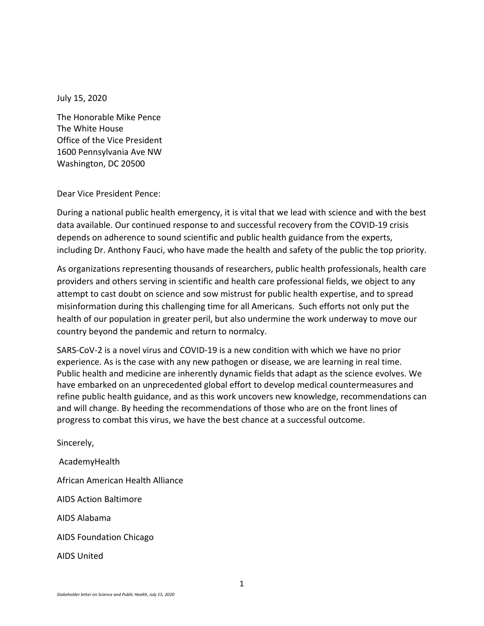July 15, 2020

The Honorable Mike Pence The White House Office of the Vice President 1600 Pennsylvania Ave NW Washington, DC 20500

Dear Vice President Pence:

During a national public health emergency, it is vital that we lead with science and with the best data available. Our continued response to and successful recovery from the COVID-19 crisis depends on adherence to sound scientific and public health guidance from the experts, including Dr. Anthony Fauci, who have made the health and safety of the public the top priority.

As organizations representing thousands of researchers, public health professionals, health care providers and others serving in scientific and health care professional fields, we object to any attempt to cast doubt on science and sow mistrust for public health expertise, and to spread misinformation during this challenging time for all Americans. Such efforts not only put the health of our population in greater peril, but also undermine the work underway to move our country beyond the pandemic and return to normalcy.

SARS-CoV-2 is a novel virus and COVID-19 is a new condition with which we have no prior experience. As is the case with any new pathogen or disease, we are learning in real time. Public health and medicine are inherently dynamic fields that adapt as the science evolves. We have embarked on an unprecedented global effort to develop medical countermeasures and refine public health guidance, and as this work uncovers new knowledge, recommendations can and will change. By heeding the recommendations of those who are on the front lines of progress to combat this virus, we have the best chance at a successful outcome.

Sincerely, AcademyHealth African American Health Alliance AIDS Action Baltimore AIDS Alabama AIDS Foundation Chicago AIDS United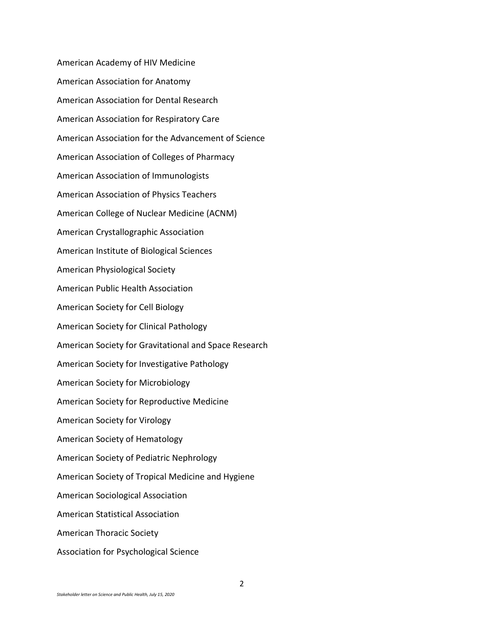American Academy of HIV Medicine American Association for Anatomy American Association for Dental Research American Association for Respiratory Care American Association for the Advancement of Science American Association of Colleges of Pharmacy American Association of Immunologists American Association of Physics Teachers American College of Nuclear Medicine (ACNM) American Crystallographic Association American Institute of Biological Sciences American Physiological Society American Public Health Association American Society for Cell Biology American Society for Clinical Pathology American Society for Gravitational and Space Research American Society for Investigative Pathology American Society for Microbiology American Society for Reproductive Medicine American Society for Virology American Society of Hematology American Society of Pediatric Nephrology American Society of Tropical Medicine and Hygiene American Sociological Association American Statistical Association American Thoracic Society Association for Psychological Science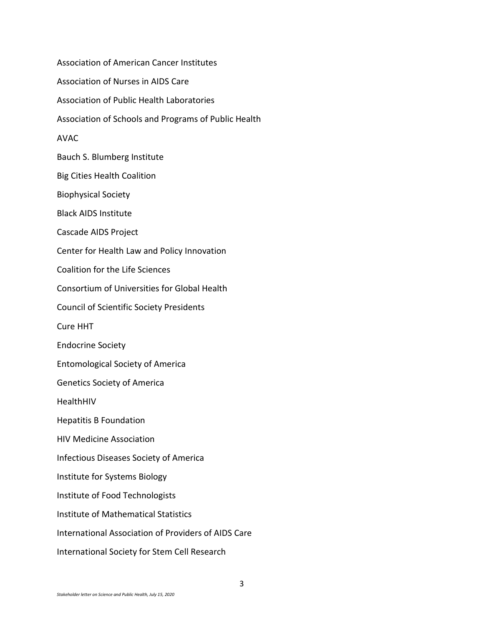Association of American Cancer Institutes Association of Nurses in AIDS Care Association of Public Health Laboratories Association of Schools and Programs of Public Health AVAC Bauch S. Blumberg Institute Big Cities Health Coalition Biophysical Society Black AIDS Institute Cascade AIDS Project Center for Health Law and Policy Innovation Coalition for the Life Sciences Consortium of Universities for Global Health Council of Scientific Society Presidents Cure HHT Endocrine Society Entomological Society of America Genetics Society of America HealthHIV Hepatitis B Foundation HIV Medicine Association Infectious Diseases Society of America Institute for Systems Biology Institute of Food Technologists Institute of Mathematical Statistics International Association of Providers of AIDS Care International Society for Stem Cell Research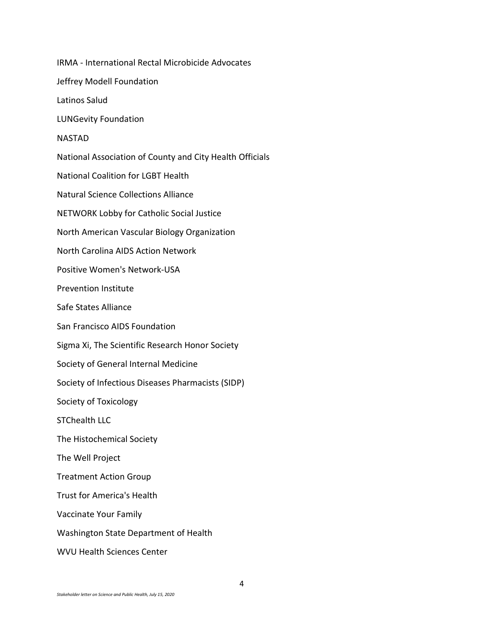IRMA - International Rectal Microbicide Advocates Jeffrey Modell Foundation Latinos Salud LUNGevity Foundation NASTAD National Association of County and City Health Officials National Coalition for LGBT Health Natural Science Collections Alliance NETWORK Lobby for Catholic Social Justice North American Vascular Biology Organization North Carolina AIDS Action Network Positive Women's Network-USA Prevention Institute Safe States Alliance San Francisco AIDS Foundation Sigma Xi, The Scientific Research Honor Society Society of General Internal Medicine Society of Infectious Diseases Pharmacists (SIDP) Society of Toxicology STChealth LLC The Histochemical Society The Well Project Treatment Action Group Trust for America's Health Vaccinate Your Family Washington State Department of Health WVU Health Sciences Center